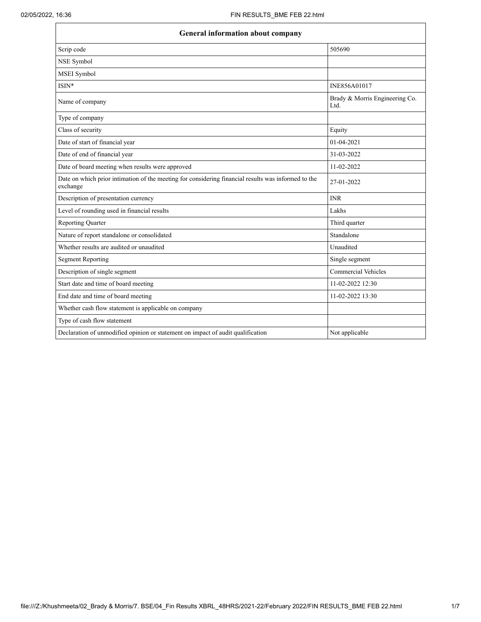Г

| <b>General information about company</b>                                                                        |                                        |  |
|-----------------------------------------------------------------------------------------------------------------|----------------------------------------|--|
| Scrip code                                                                                                      | 505690                                 |  |
| NSE Symbol                                                                                                      |                                        |  |
| MSEI Symbol                                                                                                     |                                        |  |
| ISIN*                                                                                                           | INE856A01017                           |  |
| Name of company                                                                                                 | Brady & Morris Engineering Co.<br>Ltd. |  |
| Type of company                                                                                                 |                                        |  |
| Class of security                                                                                               | Equity                                 |  |
| Date of start of financial year                                                                                 | 01-04-2021                             |  |
| Date of end of financial year                                                                                   | 31-03-2022                             |  |
| Date of board meeting when results were approved                                                                | 11-02-2022                             |  |
| Date on which prior intimation of the meeting for considering financial results was informed to the<br>exchange | 27-01-2022                             |  |
| Description of presentation currency                                                                            | <b>INR</b>                             |  |
| Level of rounding used in financial results                                                                     | Lakhs                                  |  |
| <b>Reporting Quarter</b>                                                                                        | Third quarter                          |  |
| Nature of report standalone or consolidated                                                                     | Standalone                             |  |
| Whether results are audited or unaudited                                                                        | Unaudited                              |  |
| <b>Segment Reporting</b>                                                                                        | Single segment                         |  |
| Description of single segment                                                                                   | <b>Commercial Vehicles</b>             |  |
| Start date and time of board meeting                                                                            | 11-02-2022 12:30                       |  |
| End date and time of board meeting                                                                              | 11-02-2022 13:30                       |  |
| Whether cash flow statement is applicable on company                                                            |                                        |  |
| Type of cash flow statement                                                                                     |                                        |  |
| Declaration of unmodified opinion or statement on impact of audit qualification                                 | Not applicable                         |  |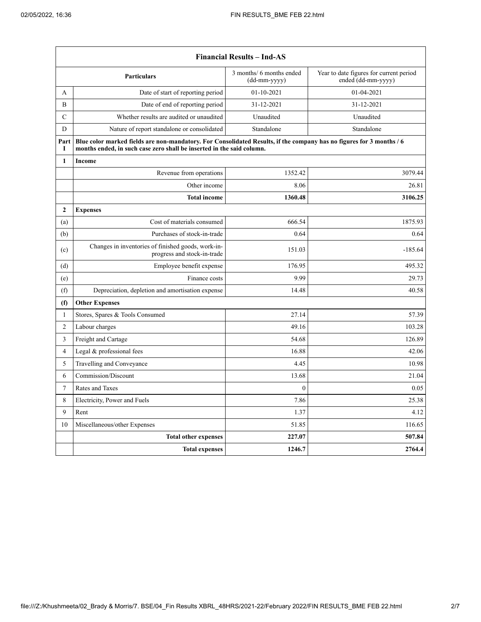$\mathbf{r}$ 

|                | <b>Financial Results – Ind-AS</b>                                                                                                                                                             |                                            |                                                               |  |
|----------------|-----------------------------------------------------------------------------------------------------------------------------------------------------------------------------------------------|--------------------------------------------|---------------------------------------------------------------|--|
|                | <b>Particulars</b>                                                                                                                                                                            | 3 months/ 6 months ended<br>$(dd-mm-yyyy)$ | Year to date figures for current period<br>ended (dd-mm-yyyy) |  |
| A              | Date of start of reporting period                                                                                                                                                             | 01-10-2021                                 | 01-04-2021                                                    |  |
| B              | Date of end of reporting period                                                                                                                                                               | 31-12-2021                                 | 31-12-2021                                                    |  |
| $\mathcal{C}$  | Whether results are audited or unaudited                                                                                                                                                      | Unaudited                                  | Unaudited                                                     |  |
| D              | Nature of report standalone or consolidated                                                                                                                                                   | Standalone                                 | Standalone                                                    |  |
| Part<br>I      | Blue color marked fields are non-mandatory. For Consolidated Results, if the company has no figures for 3 months / 6<br>months ended, in such case zero shall be inserted in the said column. |                                            |                                                               |  |
| 1              | <b>Income</b>                                                                                                                                                                                 |                                            |                                                               |  |
|                | Revenue from operations                                                                                                                                                                       | 1352.42                                    | 3079.44                                                       |  |
|                | Other income                                                                                                                                                                                  | 8.06                                       | 26.81                                                         |  |
|                | <b>Total income</b>                                                                                                                                                                           | 1360.48                                    | 3106.25                                                       |  |
| $\mathbf{2}$   | <b>Expenses</b>                                                                                                                                                                               |                                            |                                                               |  |
| (a)            | Cost of materials consumed                                                                                                                                                                    | 666.54                                     | 1875.93                                                       |  |
| (b)            | Purchases of stock-in-trade                                                                                                                                                                   | 0.64                                       | 0.64                                                          |  |
| (c)            | Changes in inventories of finished goods, work-in-<br>progress and stock-in-trade                                                                                                             | 151.03                                     | $-185.64$                                                     |  |
| (d)            | Employee benefit expense                                                                                                                                                                      | 176.95                                     | 495.32                                                        |  |
| (e)            | Finance costs                                                                                                                                                                                 | 9.99                                       | 29.73                                                         |  |
| (f)            | Depreciation, depletion and amortisation expense                                                                                                                                              | 14.48                                      | 40.58                                                         |  |
| (f)            | <b>Other Expenses</b>                                                                                                                                                                         |                                            |                                                               |  |
| $\mathbf{1}$   | Stores, Spares & Tools Consumed                                                                                                                                                               | 27.14                                      | 57.39                                                         |  |
| $\overline{c}$ | Labour charges                                                                                                                                                                                | 49.16                                      | 103.28                                                        |  |
| 3              | Freight and Cartage                                                                                                                                                                           | 54.68                                      | 126.89                                                        |  |
| $\overline{4}$ | Legal & professional fees                                                                                                                                                                     | 16.88                                      | 42.06                                                         |  |
| 5              | Travelling and Conveyance                                                                                                                                                                     | 4.45                                       | 10.98                                                         |  |
| 6              | Commission/Discount                                                                                                                                                                           | 13.68                                      | 21.04                                                         |  |
| $\overline{7}$ | Rates and Taxes                                                                                                                                                                               | $\mathbf{0}$                               | 0.05                                                          |  |
| 8              | Electricity, Power and Fuels                                                                                                                                                                  | 7.86                                       | 25.38                                                         |  |
| 9              | Rent                                                                                                                                                                                          | 1.37                                       | 4.12                                                          |  |
| 10             | Miscellaneous/other Expenses                                                                                                                                                                  | 51.85                                      | 116.65                                                        |  |
|                | <b>Total other expenses</b>                                                                                                                                                                   | 227.07                                     | 507.84                                                        |  |
|                | <b>Total expenses</b>                                                                                                                                                                         | 1246.7                                     | 2764.4                                                        |  |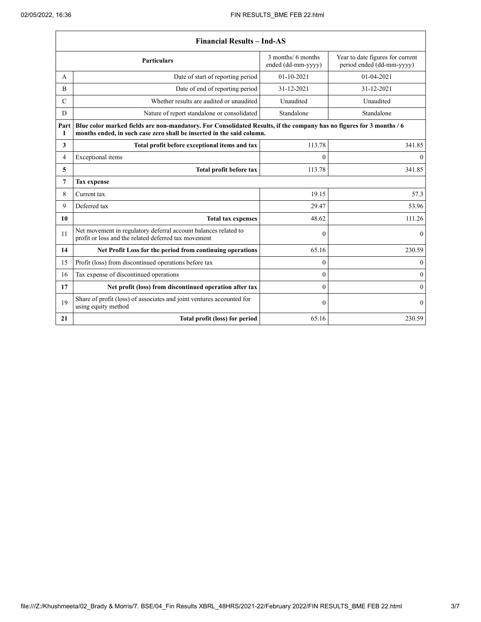|                | <b>Financial Results – Ind-AS</b>                                                                                                                                                             |                                          |                                                               |  |
|----------------|-----------------------------------------------------------------------------------------------------------------------------------------------------------------------------------------------|------------------------------------------|---------------------------------------------------------------|--|
|                | <b>Particulars</b>                                                                                                                                                                            | 3 months/ 6 months<br>ended (dd-mm-yyyy) | Year to date figures for current<br>period ended (dd-mm-yyyy) |  |
| A              | Date of start of reporting period                                                                                                                                                             | $01 - 10 - 2021$                         | 01-04-2021                                                    |  |
| B              | Date of end of reporting period                                                                                                                                                               | 31-12-2021                               | 31-12-2021                                                    |  |
| $\mathcal{C}$  | Whether results are audited or unaudited                                                                                                                                                      | Unaudited                                | Unaudited                                                     |  |
| D              | Nature of report standalone or consolidated                                                                                                                                                   | Standalone                               | Standalone                                                    |  |
| Part<br>T      | Blue color marked fields are non-mandatory. For Consolidated Results, if the company has no figures for 3 months / 6<br>months ended, in such case zero shall be inserted in the said column. |                                          |                                                               |  |
| $\mathbf{3}$   | Total profit before exceptional items and tax                                                                                                                                                 | 113.78                                   | 341.85                                                        |  |
| 4              | Exceptional items                                                                                                                                                                             | $\theta$                                 | $\theta$                                                      |  |
| 5              | Total profit before tax                                                                                                                                                                       | 113.78                                   | 341.85                                                        |  |
| $\overline{7}$ | <b>Tax expense</b>                                                                                                                                                                            |                                          |                                                               |  |
| 8              | Current tax                                                                                                                                                                                   | 19.15                                    | 57.3                                                          |  |
| 9              | Deferred tax                                                                                                                                                                                  | 29.47                                    | 53.96                                                         |  |
| 10             | <b>Total tax expenses</b>                                                                                                                                                                     | 48.62                                    | 111.26                                                        |  |
| 11             | Net movement in regulatory deferral account balances related to<br>profit or loss and the related deferred tax movement                                                                       | $\theta$                                 | $\mathbf{0}$                                                  |  |
| 14             | Net Profit Loss for the period from continuing operations                                                                                                                                     | 65.16                                    | 230.59                                                        |  |
| 15             | Profit (loss) from discontinued operations before tax                                                                                                                                         | $\theta$                                 | $\mathbf{0}$                                                  |  |
| 16             | Tax expense of discontinued operations                                                                                                                                                        | $\theta$                                 | $\theta$                                                      |  |
| 17             | Net profit (loss) from discontinued operation after tax                                                                                                                                       | $\theta$                                 | $\theta$                                                      |  |
| 19             | Share of profit (loss) of associates and joint ventures accounted for<br>using equity method                                                                                                  | $\theta$                                 | $\mathbf{0}$                                                  |  |
| 21             | Total profit (loss) for period                                                                                                                                                                | 65.16                                    | 230.59                                                        |  |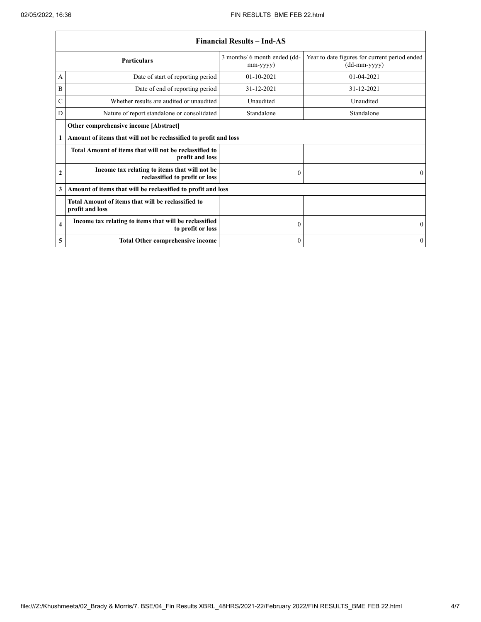|                         | <b>Financial Results – Ind-AS</b>                                               |                                                |                                                                 |  |
|-------------------------|---------------------------------------------------------------------------------|------------------------------------------------|-----------------------------------------------------------------|--|
|                         | <b>Particulars</b>                                                              | 3 months/ 6 month ended (dd-<br>$mm$ -yyyy $)$ | Year to date figures for current period ended<br>$(dd-mm-yyyy)$ |  |
| A                       | Date of start of reporting period                                               | $01 - 10 - 2021$                               | $01 - 04 - 2021$                                                |  |
| B                       | Date of end of reporting period                                                 | 31-12-2021                                     | 31-12-2021                                                      |  |
| C                       | Whether results are audited or unaudited                                        | Unaudited                                      | Unaudited                                                       |  |
| D                       | Nature of report standalone or consolidated                                     | Standalone                                     | Standalone                                                      |  |
|                         | Other comprehensive income [Abstract]                                           |                                                |                                                                 |  |
| 1                       | Amount of items that will not be reclassified to profit and loss                |                                                |                                                                 |  |
|                         | Total Amount of items that will not be reclassified to<br>profit and loss       |                                                |                                                                 |  |
| $\mathbf{2}$            | Income tax relating to items that will not be<br>reclassified to profit or loss | $\Omega$                                       | $\Omega$                                                        |  |
| 3                       | Amount of items that will be reclassified to profit and loss                    |                                                |                                                                 |  |
|                         | Total Amount of items that will be reclassified to<br>profit and loss           |                                                |                                                                 |  |
| $\overline{\mathbf{4}}$ | Income tax relating to items that will be reclassified<br>to profit or loss     | $\mathbf{0}$                                   | $\mathbf{0}$                                                    |  |
| 5                       | <b>Total Other comprehensive income</b>                                         | $\theta$                                       | $\mathbf{0}$                                                    |  |

٦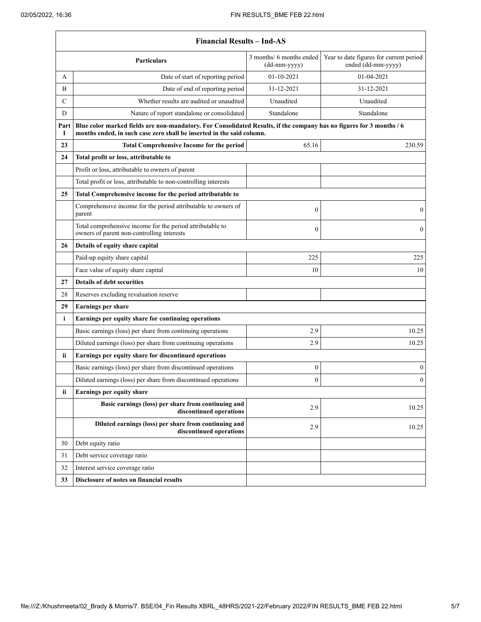|                                       | <b>Financial Results - Ind-AS</b>                                                                                                                                                             |                                            |                                                               |  |
|---------------------------------------|-----------------------------------------------------------------------------------------------------------------------------------------------------------------------------------------------|--------------------------------------------|---------------------------------------------------------------|--|
|                                       | Particulars                                                                                                                                                                                   | 3 months/ 6 months ended<br>$(dd-mm-yyyy)$ | Year to date figures for current period<br>ended (dd-mm-yyyy) |  |
| A                                     | Date of start of reporting period                                                                                                                                                             | 01-10-2021                                 | 01-04-2021                                                    |  |
| B                                     | Date of end of reporting period                                                                                                                                                               | 31-12-2021                                 | 31-12-2021                                                    |  |
| $\mathcal{C}$                         | Whether results are audited or unaudited                                                                                                                                                      | Unaudited                                  | Unaudited                                                     |  |
| D                                     | Nature of report standalone or consolidated                                                                                                                                                   | Standalone                                 | Standalone                                                    |  |
| Part<br>I                             | Blue color marked fields are non-mandatory. For Consolidated Results, if the company has no figures for 3 months / 6<br>months ended, in such case zero shall be inserted in the said column. |                                            |                                                               |  |
| 23                                    | <b>Total Comprehensive Income for the period</b>                                                                                                                                              | 65.16                                      | 230.59                                                        |  |
| 24                                    | Total profit or loss, attributable to                                                                                                                                                         |                                            |                                                               |  |
|                                       | Profit or loss, attributable to owners of parent                                                                                                                                              |                                            |                                                               |  |
|                                       | Total profit or loss, attributable to non-controlling interests                                                                                                                               |                                            |                                                               |  |
| 25                                    | Total Comprehensive income for the period attributable to                                                                                                                                     |                                            |                                                               |  |
|                                       | Comprehensive income for the period attributable to owners of<br>parent                                                                                                                       | $\mathbf{0}$                               | $\mathbf{0}$                                                  |  |
|                                       | Total comprehensive income for the period attributable to<br>owners of parent non-controlling interests                                                                                       | $\mathbf{0}$                               | $\mathbf{0}$                                                  |  |
| Details of equity share capital<br>26 |                                                                                                                                                                                               |                                            |                                                               |  |
|                                       | Paid-up equity share capital                                                                                                                                                                  | 225                                        | 225                                                           |  |
|                                       | Face value of equity share capital                                                                                                                                                            | 10                                         | 10                                                            |  |
| 27                                    | <b>Details of debt securities</b>                                                                                                                                                             |                                            |                                                               |  |
| 28                                    | Reserves excluding revaluation reserve                                                                                                                                                        |                                            |                                                               |  |
| 29                                    | <b>Earnings per share</b>                                                                                                                                                                     |                                            |                                                               |  |
| i                                     | Earnings per equity share for continuing operations                                                                                                                                           |                                            |                                                               |  |
|                                       | Basic earnings (loss) per share from continuing operations                                                                                                                                    | 2.9                                        | 10.25                                                         |  |
|                                       | Diluted earnings (loss) per share from continuing operations                                                                                                                                  | 2.9                                        | 10.25                                                         |  |
| ii                                    | Earnings per equity share for discontinued operations                                                                                                                                         |                                            |                                                               |  |
|                                       | Basic earnings (loss) per share from discontinued operations                                                                                                                                  | $\boldsymbol{0}$                           | $\boldsymbol{0}$                                              |  |
|                                       | Diluted earnings (loss) per share from discontinued operations                                                                                                                                | $\mathbf{0}$                               | $\boldsymbol{0}$                                              |  |
| ii                                    | Earnings per equity share                                                                                                                                                                     |                                            |                                                               |  |
|                                       | Basic earnings (loss) per share from continuing and<br>discontinued operations                                                                                                                | 2.9                                        | 10.25                                                         |  |
|                                       | Diluted earnings (loss) per share from continuing and<br>discontinued operations                                                                                                              | 2.9                                        | 10.25                                                         |  |
| 30                                    | Debt equity ratio                                                                                                                                                                             |                                            |                                                               |  |
| 31                                    | Debt service coverage ratio                                                                                                                                                                   |                                            |                                                               |  |
| 32                                    | Interest service coverage ratio                                                                                                                                                               |                                            |                                                               |  |
| 33                                    | Disclosure of notes on financial results                                                                                                                                                      |                                            |                                                               |  |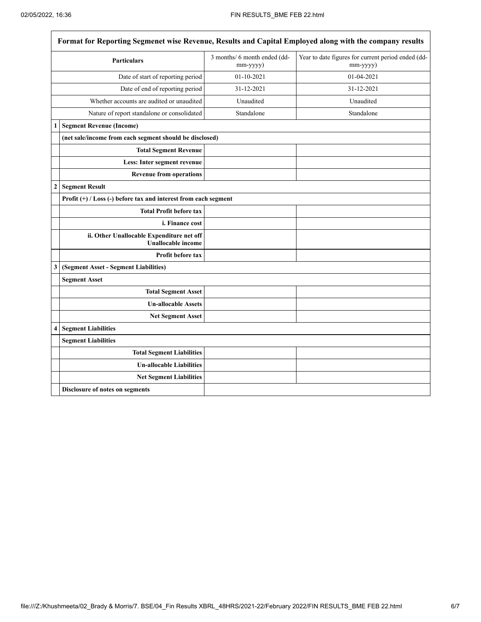|                | <b>Particulars</b>                                                     | 3 months/ 6 month ended (dd-<br>mm-yyyy) | Year to date figures for current period ended (dd-<br>$mm$ -yyyy $)$ |
|----------------|------------------------------------------------------------------------|------------------------------------------|----------------------------------------------------------------------|
|                | Date of start of reporting period                                      | $01 - 10 - 2021$                         | 01-04-2021                                                           |
|                | Date of end of reporting period                                        | 31-12-2021                               | 31-12-2021                                                           |
|                | Whether accounts are audited or unaudited                              | Unaudited                                | Unaudited                                                            |
|                | Nature of report standalone or consolidated                            | Standalone                               | Standalone                                                           |
| 1              | <b>Segment Revenue (Income)</b>                                        |                                          |                                                                      |
|                | (net sale/income from each segment should be disclosed)                |                                          |                                                                      |
|                | <b>Total Segment Revenue</b>                                           |                                          |                                                                      |
|                | Less: Inter segment revenue                                            |                                          |                                                                      |
|                | <b>Revenue from operations</b>                                         |                                          |                                                                      |
| $\overline{c}$ | <b>Segment Result</b>                                                  |                                          |                                                                      |
|                | Profit $(+)$ / Loss (-) before tax and interest from each segment      |                                          |                                                                      |
|                | <b>Total Profit before tax</b>                                         |                                          |                                                                      |
|                | <i>i. Finance cost</i>                                                 |                                          |                                                                      |
|                | ii. Other Unallocable Expenditure net off<br><b>Unallocable income</b> |                                          |                                                                      |
|                | Profit before tax                                                      |                                          |                                                                      |
| 3              | (Segment Asset - Segment Liabilities)                                  |                                          |                                                                      |
|                | <b>Segment Asset</b>                                                   |                                          |                                                                      |
|                | <b>Total Segment Asset</b>                                             |                                          |                                                                      |
|                | <b>Un-allocable Assets</b>                                             |                                          |                                                                      |
|                | <b>Net Segment Asset</b>                                               |                                          |                                                                      |
| 4              | <b>Segment Liabilities</b>                                             |                                          |                                                                      |
|                | <b>Segment Liabilities</b>                                             |                                          |                                                                      |
|                | <b>Total Segment Liabilities</b>                                       |                                          |                                                                      |
|                | <b>Un-allocable Liabilities</b>                                        |                                          |                                                                      |
|                | <b>Net Segment Liabilities</b>                                         |                                          |                                                                      |
|                | Disclosure of notes on segments                                        |                                          |                                                                      |